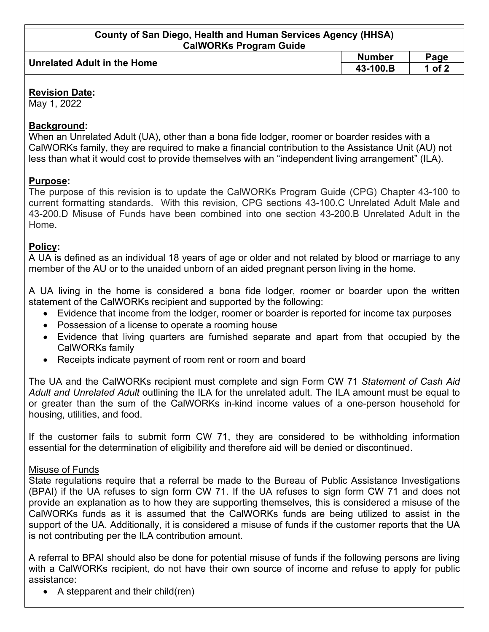| County of San Diego, Health and Human Services Agency (HHSA)<br><b>CalWORKs Program Guide</b> |               |          |  |
|-----------------------------------------------------------------------------------------------|---------------|----------|--|
|                                                                                               |               |          |  |
| <b>Unrelated Adult in the Home</b>                                                            | <b>Number</b> | Page     |  |
|                                                                                               | 43-100.B      | 1 of $2$ |  |

#### **Revision Date:**

May 1, 2022

### **Background:**

When an Unrelated Adult (UA), other than a bona fide lodger, roomer or boarder resides with a CalWORKs family, they are required to make a financial contribution to the Assistance Unit (AU) not less than what it would cost to provide themselves with an "independent living arrangement" (ILA).

# **Purpose:**

The purpose of this revision is to update the CalWORKs Program Guide (CPG) Chapter 43-100 to current formatting standards. With this revision, CPG sections 43-100.C Unrelated Adult Male and 43-200.D Misuse of Funds have been combined into one section 43-200.B Unrelated Adult in the Home.

# **Policy:**

A UA is defined as an individual 18 years of age or older and not related by blood or marriage to any member of the AU or to the unaided unborn of an aided pregnant person living in the home.

A UA living in the home is considered a bona fide lodger, roomer or boarder upon the written statement of the CalWORKs recipient and supported by the following:

- Evidence that income from the lodger, roomer or boarder is reported for income tax purposes
- Possession of a license to operate a rooming house
- Evidence that living quarters are furnished separate and apart from that occupied by the CalWORKs family
- Receipts indicate payment of room rent or room and board

The UA and the CalWORKs recipient must complete and sign Form CW 71 *Statement of Cash Aid Adult and Unrelated Adult* outlining the ILA for the unrelated adult. The ILA amount must be equal to or greater than the sum of the CalWORKs in-kind income values of a one-person household for housing, utilities, and food.

If the customer fails to submit form CW 71, they are considered to be withholding information essential for the determination of eligibility and therefore aid will be denied or discontinued.

#### Misuse of Funds

State regulations require that a referral be made to the Bureau of Public Assistance Investigations (BPAI) if the UA refuses to sign form CW 71. If the UA refuses to sign form CW 71 and does not provide an explanation as to how they are supporting themselves, this is considered a misuse of the CalWORKs funds as it is assumed that the CalWORKs funds are being utilized to assist in the support of the UA. Additionally, it is considered a misuse of funds if the customer reports that the UA is not contributing per the ILA contribution amount.

A referral to BPAI should also be done for potential misuse of funds if the following persons are living with a CalWORKs recipient, do not have their own source of income and refuse to apply for public assistance:

• A stepparent and their child(ren)